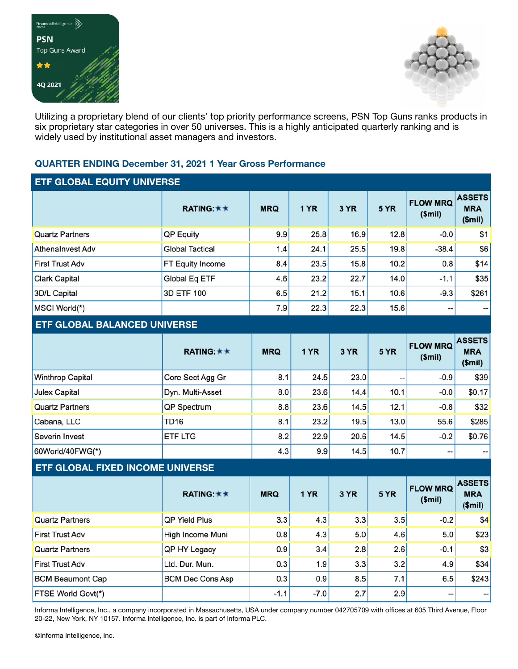



Utilizing a proprietary blend of our clients' top priority performance screens, PSN Top Guns ranks products in six proprietary star categories in over 50 universes. This is a highly anticipated quarterly ranking and is widely used by institutional asset managers and investors.

## **QUARTER ENDING December 31, 2021 1 Year Gross Performance**

| ETF GLOBAL EQUITY UNIVERSE          |                        |            |      |      |                 |                                |                                      |
|-------------------------------------|------------------------|------------|------|------|-----------------|--------------------------------|--------------------------------------|
|                                     | <b>RATING: ★ ★</b>     | <b>MRQ</b> | 1 YR | 3 YR | 5 YR            | <b>FLOW MRQ</b><br>(Smil)      | <b>ASSETS</b><br><b>MRA</b><br>\$mi) |
| <b>Quartz Partners</b>              | QP Equity              | 9.9        | 25.8 | 16.9 | 12.8            | $-0.0$                         | \$1                                  |
| <b>Athenalnyest Adv</b>             | <b>Global Tactical</b> | 1.4        | 24.1 | 25.5 | 19.8            | $-38.4$                        | \$6                                  |
| First Trust Adv                     | FT Equity Income       | 8.4        | 23.5 | 15.8 | 10.2            | 0.8                            | \$14                                 |
| Clark Capital                       | Global Eq ETF          | 4.6        | 23.2 | 22.7 | 14.0            | $-1.1$                         | \$35                                 |
| 3D/L Capital                        | 3D ETF 100             | 6.5        | 21.2 | 15.1 | 10.6            | $-9.3$                         | \$261                                |
| MSCI World(*)                       |                        | 7.9        | 22.3 | 22.3 | 15.6            | --                             |                                      |
| <b>ETF GLOBAL BALANCED UNIVERSE</b> |                        |            |      |      |                 |                                |                                      |
|                                     | <b>RATING: ★ ★</b>     | <b>MRQ</b> | 1 YR | 3 YR | 5 YR            | <b>FLOW MRQ</b><br>$$$ mil $)$ | <b>ASSETS</b><br><b>MRA</b><br>\$mi) |
| <b>Winthrop Capital</b>             | Core Sect Agg Gr       | 8.1        | 24.5 | 23.0 | --              | $-0.9$                         | \$39                                 |
| Juley Capital                       | $Dyn$ $MultiAeeat$     | 901        | າາ ຂ | 111  | 10 <sub>1</sub> | $\cap$ $\cap$                  | CD 17                                |

| <b>JUICA CAPILAI</b>   | <b>DYII.</b> MUIL-ASSEL | $\mathbf{v} \cdot \mathbf{v}$ | $\sim\!\!\sim\!$ | $1 + 1$ | 10.1 | $-\mathsf{v}.\mathsf{v}$ | $\mathsf{v}\mathsf{v}\mathsf{v}\mathsf{u}$ |
|------------------------|-------------------------|-------------------------------|------------------|---------|------|--------------------------|--------------------------------------------|
| <b>Quartz Partners</b> | <b>QP</b> Spectrum      | 8.8                           | 23.6             | 14.5    | 12.1 | $-0.8$                   | \$32                                       |
| Cabana, LLC            | TD <sub>16</sub>        | 8.1                           | 23.2             | 19.5    | 13.0 | 55.6                     | \$285                                      |
| Severin Invest         | <b>ETF LTG</b>          | 8.2                           | 22.9             | 20.6    | 14.5 | $-0.2$                   | \$0.76                                     |
| 60World/40FWG(*)       |                         | 4.3                           | 9.9              | 14.5    | 10.7 | $- -$                    | --                                         |

## **ETF GLOBAL FIXED INCOME UNIVERSE**

|                           | RATING: $\star \star$   | <b>MRQ</b> | <b>1 YR</b> | <b>3 YR</b> | <b>5 YR</b> | <b>FLOW MRQ</b><br>\$mi) | <b>ASSETS</b><br><b>MRA</b><br>\$mi) |
|---------------------------|-------------------------|------------|-------------|-------------|-------------|--------------------------|--------------------------------------|
| <b>Quartz Partners</b>    | <b>QP Yield Plus</b>    | 3.3        | 4.3         | 3.3         | 3.5         | $-0.2$                   | \$4                                  |
| <b>First Trust Adv</b>    | High Income Muni        | 0.8        | 4.3         | 5.0         | 4.6         | 5.0                      | \$23                                 |
| <b>Quartz Partners</b>    | <b>QP HY Legacy</b>     | 0.9        | 3.4         | 2.8         | 2.6         | $-0.1$                   | \$3                                  |
| <b>First Trust Adv</b>    | Ltd. Dur. Mun.          | 0.3        | 1.9         | 3.3         | 3.2         | 4.9                      | \$34                                 |
| <b>BCM Beaumont Cap</b>   | <b>BCM Dec Cons Asp</b> | 0.3        | 0.9         | 8.5         | 7.1         | 6.5                      | \$243                                |
| <b>FTSE World Govt(*)</b> |                         | $-1.1$     | $-7.0$      | 2.7         | 2.9         | --                       |                                      |

Informa Intelligence, Inc., a company incorporated in Massachusetts, USA under company number 042705709 with offices at 605 Third Avenue, Floor 20-22, New York, NY 10157. Informa Intelligence, Inc. is part of Informa PLC.